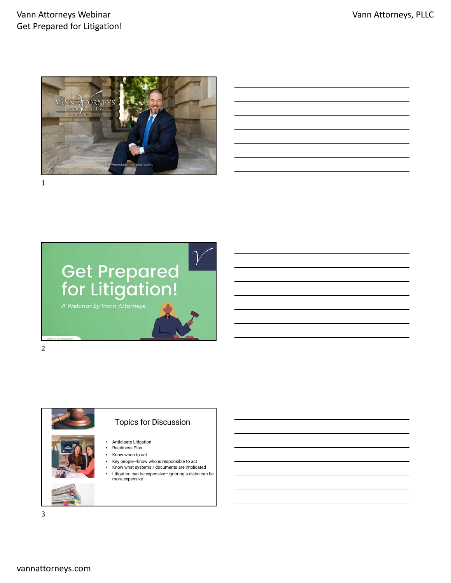## Vann Attorneys Webinar Get Prepared for Litigation!



1



### Topics for Discussion

- Anticipate Litigation • Readiness Plan
	- Know when to act
	-
	- Key people—know who is responsible to act • Know what systems / documents are implicated
	- Litigation can be expensive—ignoring a claim can be more expensive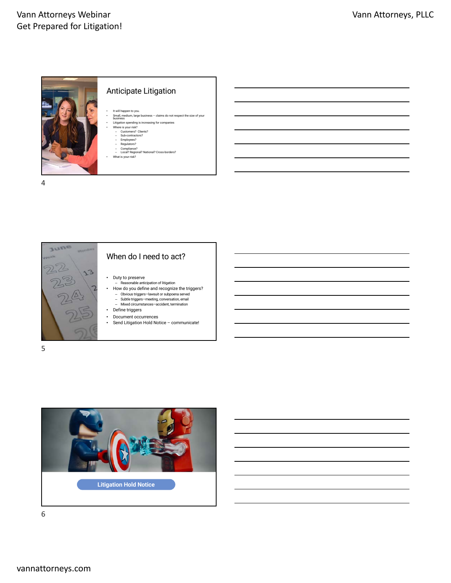

4



## When do I need to act?

- Duty to preserve
- Reasonable anticipation of litigation
- How do you define and recognize the triggers? Obvious triggers—lawsuit or subpoena served
	- Subtle triggers—meeting, conversation, email Mixed circumstances—accident, termination
- Define triggers
- 
- Document occurrences<br>• Send Litigation Hold No
	- Send Litigation Hold Notice communicate!

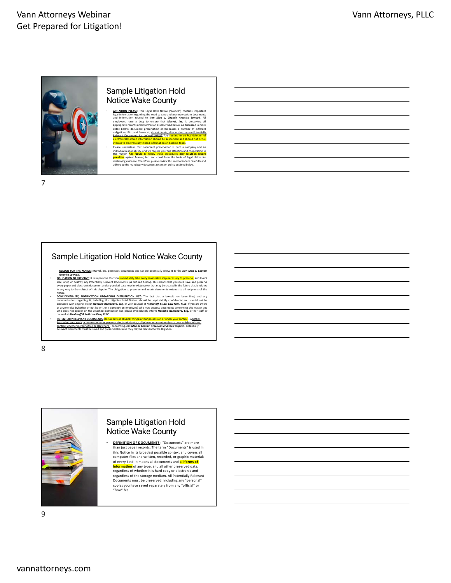

## Sample Litigation Hold Notice Wake County

- **ATTEMTON PFACE:** This Legal Hold Notice ("Notice") contains important<br>and information regarding the need to save and preserve certain documents<br>and information related to *Iron Man v. Ceptoin America Lowssit*. All<br>employ
- even as to electronically-stored information on back-up tapes.<br>
Mease understand that document preservation is both a company and an<br>
information are considered in the preservation is both a company and an<br>
information is

7

### Sample Litigation Hold Notice Wake County

- 
- **EXADON EXE THE NOTICE:** Marvel, Inc. possesses documents and ESI are potentially relevant to the *Iron Man v. Coptoin*<br>**COBUGATION:** The imperative that you immediately take every reasonable step necessary to preserve, an
- Notice COMPIDENTIALITY, NOTIFICATION REGARDING DISTRIBUTION LIST: The fact that a lawsuit has been filed, and any<br>communication regarding it, including this litigation hold Notice, should be lest strictly confidential and
- 

8



### Sample Litigation Hold Notice Wake County

**DEFINITION OF DOCUMENTS:** "Documents" are more than just paper records. The term "Documents" is used in this Notice in its broadest possible context and covers all computer files and written, recorded, or graphic materials of every kind. It means all documents and <mark>all forms of</mark><br><mark>information</mark> of any type, and all other preserved data,<br>regardless of whether it is hard copy or electronic and regardless of the storage medium. All Potentially Relevant Documents must be preserved, including any "personal" copies you have saved separately from any "official" or "firm" file.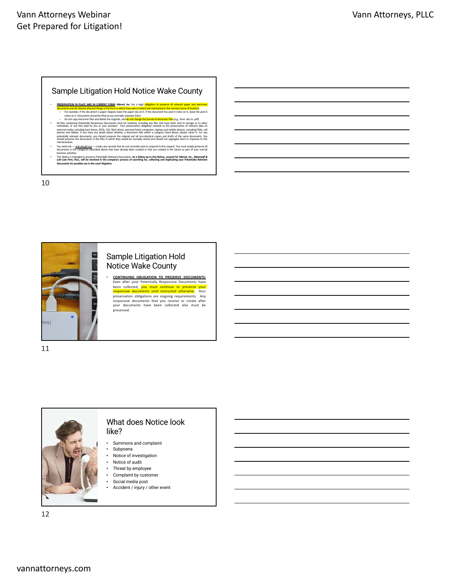## Vann Attorneys Webinar Get Prepared for Litigation!

#### Sample Litigation Hold Notice Wake County

- PRESERVATION IN PLACE AND IN CURRENT FORM: Marvel, Inc. has a legal obligation to preserve all relevant paper and electronic<br>documents and all relevant physical things in the form in which they were created and maintained – For example, if the document is paper clipped, leave the paper clip on it. If the document has post-it notes on it, leave the post-it notes on it. Documentsshould be filed as you normally maintain them.
- Do not copy electronic files and delete the originals, and **do not change the format of electronic fiee** (e.g., from doct optifies containing Potentially Responsive Documents must be retained and individuals, or any fire
- You need not and should not create any records that do not currently exist to respond to this request. You must simply preserve all<br>documents in the categories described above that have already been created or that are
- busines activities.<br>This Notice is intended to preserve Potentially Relevant Documents. As a follow-up to this Notice, coursel for *Manwel, Inc., Maximoff &*<br>Dold Low Pirm, PLLC, will be involved in the company's process o

10



### Sample Litigation Hold Notice Wake County

**CONTINUING OBLIGATION TO PRESERVE DOCUMENTS:**<br>Even after your Potentially Responsive Documents have<br>been collected, you must continue to preserve your<br>responsive documents until instructed otherwise. Your preservation obligations are ongoing requirements. Any responsive documents that you receive or create after your documents have been collected also must be preserved.

11



### What does Notice look like?

- Summons and complaint
- Subpoena
- Notice of investigation Notice of audit
- Threat by employee
- Complaint by customer
- Social media post
- Accident / injury / other event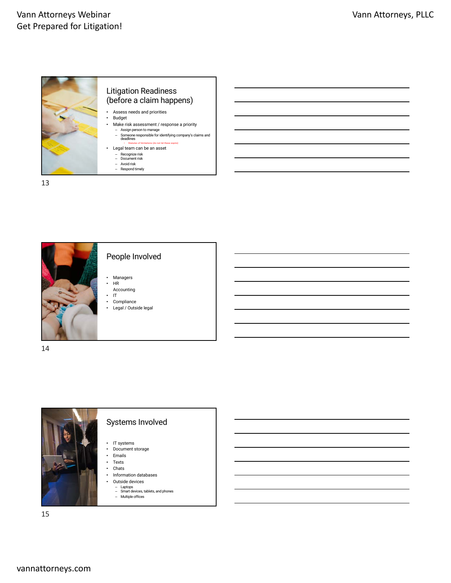

13



14



## Systems Involved

People Involved

• Managers  $\ensuremath{\mathsf{HR}}$ Accounting • IT • Compliance<br>• Legal / Outs • Legal / Outside legal

- IT systems • Document storage
- 
- Emails
- Texts<br>• Chate • Chats
- Information databases
- Outside devices
	-
	- Laptops Smart devices, tablets, and phones Multiple offices
-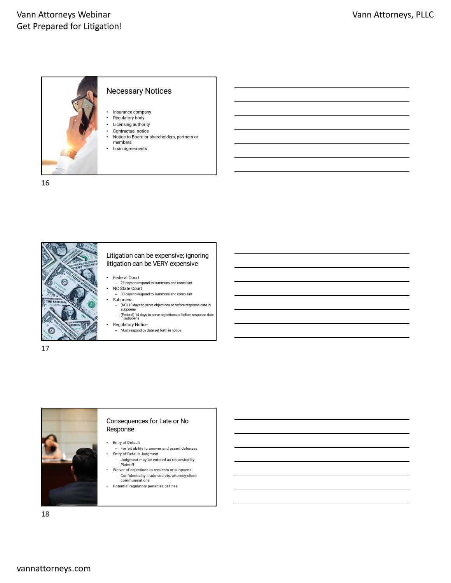

16



#### Litigation can be expensive; ignoring litigation can be VERY expensive

- Federal Court
- 21 days to respond to summons and complaint NC State Court
- 30 days to respond to summons and complaint • Subpoena
- (NC) 10 days to serve objections or before response date in subpoena
- (Federal) 14 days to serve objections or before response date in subpoena Regulatory Notice
- Must respond by date set forth in notice

17



#### Consequences for Late or No Response

• Entry of Default

- Forfeit ability to answer and assert defenses • Entry of Default Judgment – Judgment may be entered as requested by
- Plaintiff • Waiver of objections to requests or subpoena
- Confidentiality, trade secrets, attorney-client communications • Potential regulatory penalties or fines
-